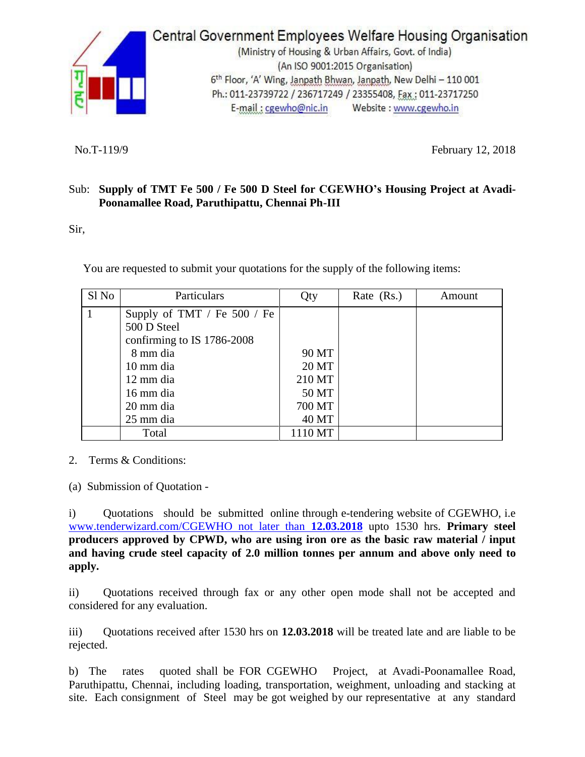

## Central Government Employees Welfare Housing Organisation

(Ministry of Housing & Urban Affairs, Govt. of India) (An ISO 9001:2015 Organisation) 6th Floor, 'A' Wing, Janpath Bhwan, Janpath, New Delhi - 110 001 Ph.: 011-23739722 / 236717249 / 23355408, Fax: 011-23717250 E-mail: cgewho@nic.in Website : www.cgewho.in

No.T-119/9 February 12, 2018

## Sub: **Supply of TMT Fe 500 / Fe 500 D Steel for CGEWHO's Housing Project at Avadi-Poonamallee Road, Paruthipattu, Chennai Ph-III**

Sir,

You are requested to submit your quotations for the supply of the following items:

| Sl <sub>No</sub> | Particulars                   | Qty     | Rate $(Rs.)$ | Amount |
|------------------|-------------------------------|---------|--------------|--------|
|                  | Supply of TMT / Fe $500$ / Fe |         |              |        |
|                  | 500 D Steel                   |         |              |        |
|                  | confirming to IS 1786-2008    |         |              |        |
|                  | 8 mm dia                      | 90 MT   |              |        |
|                  | 10 mm dia                     | 20 MT   |              |        |
|                  | 12 mm dia                     | 210 MT  |              |        |
|                  | 16 mm dia                     | 50 MT   |              |        |
|                  | 20 mm dia                     | 700 MT  |              |        |
|                  | 25 mm dia                     | 40 MT   |              |        |
|                  | Total                         | 1110 MT |              |        |

2. Terms & Conditions:

(a) Submission of Quotation -

i) Quotations should be submitted online through e-tendering website of CGEWHO, i.e [www.tenderwizard.com/CGEWHO not later than](http://www.tenderwizard.com/CGEWHO%20not%20later%20than%2012.03.2018) **12.03.2018** upto 1530 hrs. **Primary steel producers approved by CPWD, who are using iron ore as the basic raw material / input and having crude steel capacity of 2.0 million tonnes per annum and above only need to apply.**

ii) Quotations received through fax or any other open mode shall not be accepted and considered for any evaluation.

iii) Quotations received after 1530 hrs on **12.03.2018** will be treated late and are liable to be rejected.

b) The rates quoted shall be FOR CGEWHO Project, at Avadi-Poonamallee Road, Paruthipattu, Chennai, including loading, transportation, weighment, unloading and stacking at site. Each consignment of Steel may be got weighed by our representative at any standard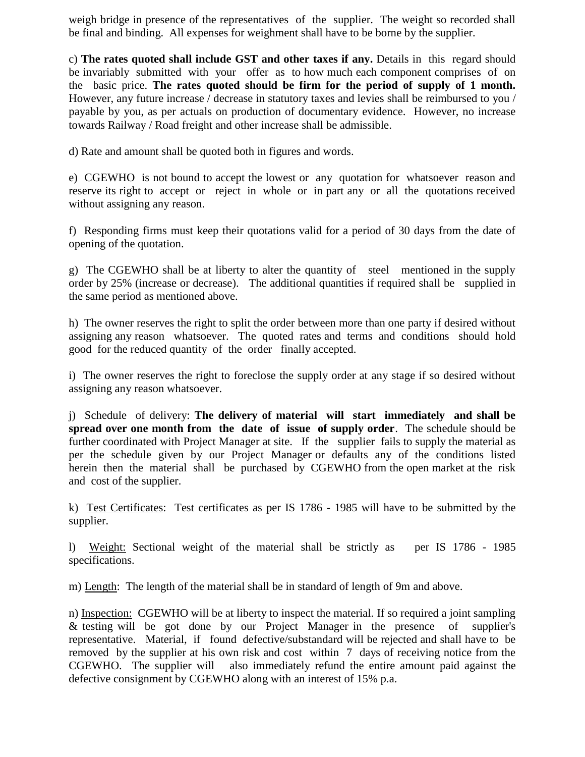weigh bridge in presence of the representatives of the supplier. The weight so recorded shall be final and binding. All expenses for weighment shall have to be borne by the supplier.

c) **The rates quoted shall include GST and other taxes if any.** Details in this regard should be invariably submitted with your offer as to how much each component comprises of on the basic price. **The rates quoted should be firm for the period of supply of 1 month.**  However, any future increase / decrease in statutory taxes and levies shall be reimbursed to you / payable by you, as per actuals on production of documentary evidence. However, no increase towards Railway / Road freight and other increase shall be admissible.

d) Rate and amount shall be quoted both in figures and words.

e) CGEWHO is not bound to accept the lowest or any quotation for whatsoever reason and reserve its right to accept or reject in whole or in part any or all the quotations received without assigning any reason.

f) Responding firms must keep their quotations valid for a period of 30 days from the date of opening of the quotation.

g) The CGEWHO shall be at liberty to alter the quantity of steel mentioned in the supply order by 25% (increase or decrease). The additional quantities if required shall be supplied in the same period as mentioned above.

h) The owner reserves the right to split the order between more than one party if desired without assigning any reason whatsoever. The quoted rates and terms and conditions should hold good for the reduced quantity of the order finally accepted.

i) The owner reserves the right to foreclose the supply order at any stage if so desired without assigning any reason whatsoever.

j) Schedule of delivery: **The delivery of material will start immediately and shall be spread over one month from the date of issue of supply order**. The schedule should be further coordinated with Project Manager at site. If the supplier fails to supply the material as per the schedule given by our Project Manager or defaults any of the conditions listed herein then the material shall be purchased by CGEWHO from the open market at the risk and cost of the supplier.

k) Test Certificates: Test certificates as per IS 1786 - 1985 will have to be submitted by the supplier.

l) Weight: Sectional weight of the material shall be strictly as per IS 1786 - 1985 specifications.

m) Length: The length of the material shall be in standard of length of 9m and above.

n) Inspection: CGEWHO will be at liberty to inspect the material. If so required a joint sampling & testing will be got done by our Project Manager in the presence of supplier's representative. Material, if found defective/substandard will be rejected and shall have to be removed by the supplier at his own risk and cost within 7 days of receiving notice from the CGEWHO. The supplier will also immediately refund the entire amount paid against the defective consignment by CGEWHO along with an interest of 15% p.a.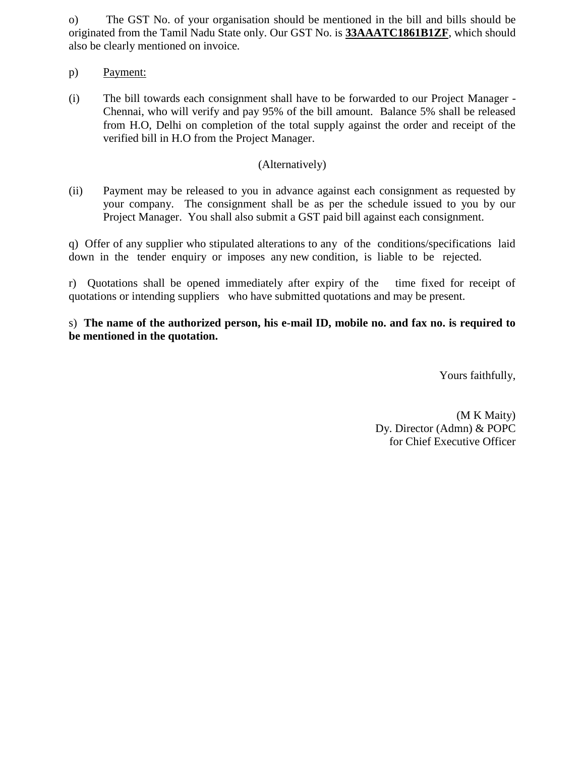o) The GST No. of your organisation should be mentioned in the bill and bills should be originated from the Tamil Nadu State only. Our GST No. is **33AAATC1861B1ZF**, which should also be clearly mentioned on invoice*.* 

- p) Payment:
- (i) The bill towards each consignment shall have to be forwarded to our Project Manager Chennai, who will verify and pay 95% of the bill amount. Balance 5% shall be released from H.O, Delhi on completion of the total supply against the order and receipt of the verified bill in H.O from the Project Manager.

## (Alternatively)

(ii) Payment may be released to you in advance against each consignment as requested by your company. The consignment shall be as per the schedule issued to you by our Project Manager. You shall also submit a GST paid bill against each consignment.

q) Offer of any supplier who stipulated alterations to any of the conditions/specifications laid down in the tender enquiry or imposes any new condition, is liable to be rejected.

r) Quotations shall be opened immediately after expiry of the time fixed for receipt of quotations or intending suppliers who have submitted quotations and may be present.

s) **The name of the authorized person, his e-mail ID, mobile no. and fax no. is required to be mentioned in the quotation.** 

Yours faithfully,

 (M K Maity) Dy. Director (Admn) & POPC for Chief Executive Officer